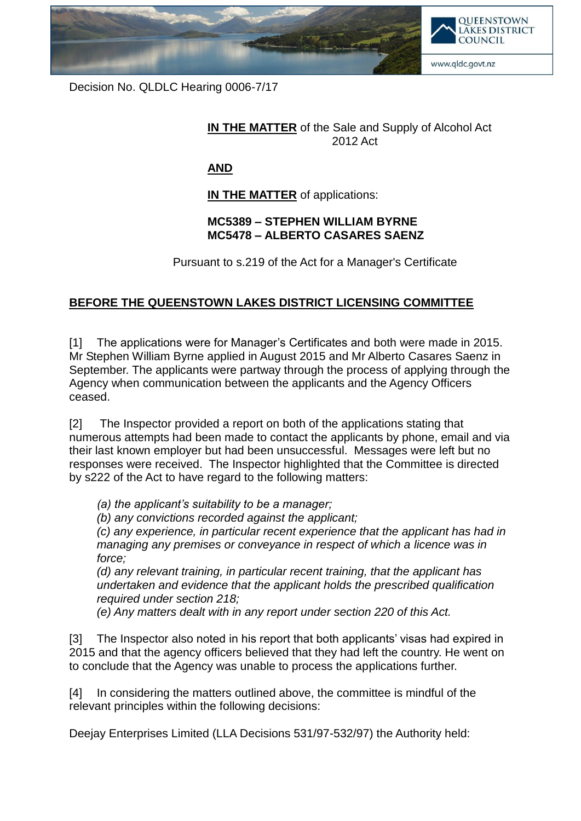

Decision No. QLDLC Hearing 0006-7/17

## **IN THE MATTER** of the Sale and Supply of Alcohol Act 2012 Act

## **AND**

**IN THE MATTER** of applications:

## **MC5389 – STEPHEN WILLIAM BYRNE MC5478 – ALBERTO CASARES SAENZ**

Pursuant to s.219 of the Act for a Manager's Certificate

## **BEFORE THE QUEENSTOWN LAKES DISTRICT LICENSING COMMITTEE**

[1] The applications were for Manager's Certificates and both were made in 2015. Mr Stephen William Byrne applied in August 2015 and Mr Alberto Casares Saenz in September. The applicants were partway through the process of applying through the Agency when communication between the applicants and the Agency Officers ceased.

[2] The Inspector provided a report on both of the applications stating that numerous attempts had been made to contact the applicants by phone, email and via their last known employer but had been unsuccessful. Messages were left but no responses were received. The Inspector highlighted that the Committee is directed by s222 of the Act to have regard to the following matters:

*(a) the applicant's suitability to be a manager;*

*(b) any convictions recorded against the applicant;*

*(c) any experience, in particular recent experience that the applicant has had in managing any premises or conveyance in respect of which a licence was in force;*

*(d) any relevant training, in particular recent training, that the applicant has undertaken and evidence that the applicant holds the prescribed qualification required under section 218;*

*(e) Any matters dealt with in any report under section 220 of this Act.*

[3] The Inspector also noted in his report that both applicants' visas had expired in 2015 and that the agency officers believed that they had left the country. He went on to conclude that the Agency was unable to process the applications further.

[4] In considering the matters outlined above, the committee is mindful of the relevant principles within the following decisions:

Deejay Enterprises Limited (LLA Decisions 531/97-532/97) the Authority held: